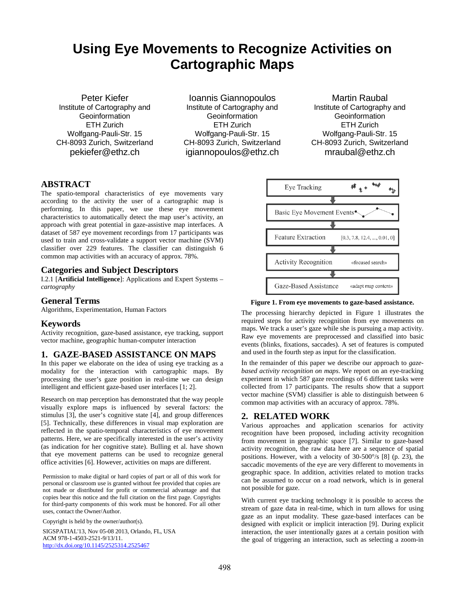# **Using Eye Movements to Recognize Activities on Cartographic Maps**

Peter Kiefer Institute of Cartography and **Geoinformation** ETH Zurich Wolfgang-Pauli-Str. 15 CH-8093 Zurich, Switzerland pekiefer@ethz.ch

Ioannis Giannopoulos Institute of Cartography and **Geoinformation** ETH Zurich Wolfgang-Pauli-Str. 15 CH-8093 Zurich, Switzerland igiannopoulos@ethz.ch

Martin Raubal Institute of Cartography and **Geoinformation** ETH Zurich Wolfgang-Pauli-Str. 15 CH-8093 Zurich, Switzerland mraubal@ethz.ch

# **ABSTRACT**

The spatio-temporal characteristics of eye movements vary according to the activity the user of a cartographic map is performing. In this paper, we use these eye movement characteristics to automatically detect the map user's activity, an approach with great potential in gaze-assistive map interfaces. A dataset of 587 eye movement recordings from 17 participants was used to train and cross-validate a support vector machine (SVM) classifier over 229 features. The classifier can distinguish 6 common map activities with an accuracy of approx. 78%.

## **Categories and Subject Descriptors**

I.2.1 [**Artificial Intelligence**]: Applications and Expert Systems – *cartography*

### **General Terms**

Algorithms, Experimentation, Human Factors

### **Keywords**

Activity recognition, gaze-based assistance, eye tracking, support vector machine, geographic human-computer interaction

### **1. GAZE-BASED ASSISTANCE ON MAPS**

In this paper we elaborate on the idea of using eye tracking as a modality for the interaction with cartographic maps. By processing the user's gaze position in real-time we can design intelligent and efficient gaze-based user interfaces [1; 2].

Research on map perception has demonstrated that the way people visually explore maps is influenced by several factors: the stimulus [3], the user's cognitive state [4], and group differences [5]. Technically, these differences in visual map exploration are reflected in the spatio-temporal characteristics of eye movement patterns. Here, we are specifically interested in the user's activity (as indication for her cognitive state). Bulling et al. have shown that eye movement patterns can be used to recognize general office activities [6]. However, activities on maps are different.

Permission to make digital or hard copies of part or all of this work for personal or classroom use is granted without fee provided that copies are not made or distributed for profit or commercial advantage and that copies bear this notice and the full citation on the first page. Copyrights for third-party components of this work must be honored. For all other uses, contact the Owner/Author.

Copyright is held by the owner/author(s).

SIGSPATIAL'13, Nov 05-08 2013, Orlando, FL, USA ACM 978-1-4503-2521-9/13/11. http://dx.doi.org/10.1145/2525314.2525467



**Figure 1. From eye movements to gaze-based assistance.**

The processing hierarchy depicted in Figure 1 illustrates the required steps for activity recognition from eye movements on maps. We track a user's gaze while she is pursuing a map activity. Raw eye movements are preprocessed and classified into basic events (blinks, fixations, saccades). A set of features is computed and used in the fourth step as input for the classification.

In the remainder of this paper we describe our approach to *gazebased activity recognition on maps*. We report on an eye-tracking experiment in which 587 gaze recordings of 6 different tasks were collected from 17 participants. The results show that a support vector machine (SVM) classifier is able to distinguish between 6 common map activities with an accuracy of approx. 78%.

### **2. RELATED WORK**

Various approaches and application scenarios for activity recognition have been proposed, including activity recognition from movement in geographic space [7]. Similar to gaze-based activity recognition, the raw data here are a sequence of spatial positions. However, with a velocity of 30-500°/s [8] (p. 23), the saccadic movements of the eye are very different to movements in geographic space. In addition, activities related to motion tracks can be assumed to occur on a road network, which is in general not possible for gaze.

With current eye tracking technology it is possible to access the stream of gaze data in real-time, which in turn allows for using gaze as an input modality. These gaze-based interfaces can be designed with explicit or implicit interaction [9]. During explicit interaction, the user intentionally gazes at a certain position with the goal of triggering an interaction, such as selecting a zoom-in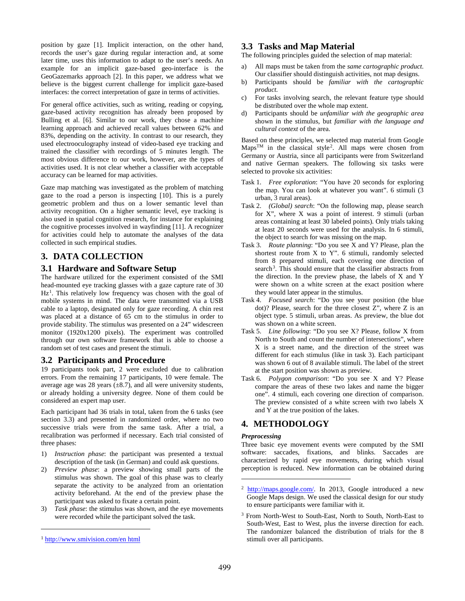position by gaze [1]. Implicit interaction, on the other hand, records the user's gaze during regular interaction and, at some later time, uses this information to adapt to the user's needs. An example for an implicit gaze-based geo-interface is the GeoGazemarks approach [2]. In this paper, we address what we believe is the biggest current challenge for implicit gaze-based interfaces: the correct interpretation of gaze in terms of activities.

For general office activities, such as writing, reading or copying, gaze-based activity recognition has already been proposed by Bulling et al. [6]. Similar to our work, they chose a machine learning approach and achieved recall values between 62% and 83%, depending on the activity. In contrast to our research, they used electrooculography instead of video-based eye tracking and trained the classifier with recordings of 5 minutes length. The most obvious difference to our work, however, are the types of activities used. It is not clear whether a classifier with acceptable accuracy can be learned for map activities.

Gaze map matching was investigated as the problem of matching gaze to the road a person is inspecting [10]. This is a purely geometric problem and thus on a lower semantic level than activity recognition. On a higher semantic level, eye tracking is also used in spatial cognition research, for instance for explaining the cognitive processes involved in wayfinding [11]. A recognizer for activities could help to automate the analyses of the data collected in such empirical studies.

# **3. DATA COLLECTION**

# **3.1 Hardware and Software Setup**

The hardware utilized for the experiment consisted of the SMI head-mounted eye tracking glasses with a gaze capture rate of 30 Hz<sup>1</sup>. This relatively low frequency was chosen with the goal of mobile systems in mind. The data were transmitted via a USB cable to a laptop, designated only for gaze recording. A chin rest was placed at a distance of 65 cm to the stimulus in order to provide stability. The stimulus was presented on a 24" widescreen monitor (1920x1200 pixels). The experiment was controlled through our own software framework that is able to choose a random set of test cases and present the stimuli.

### **3.2 Participants and Procedure**

19 participants took part, 2 were excluded due to calibration errors. From the remaining 17 participants, 10 were female. The average age was 28 years  $(\pm 8.7)$ , and all were university students, or already holding a university degree. None of them could be considered an expert map user.

Each participant had 36 trials in total, taken from the 6 tasks (see section 3.3) and presented in randomized order, where no two successive trials were from the same task. After a trial, a recalibration was performed if necessary. Each trial consisted of three phases:

- 1) *Instruction phase*: the participant was presented a textual description of the task (in German) and could ask questions.
- 2) *Preview phase*: a preview showing small parts of the stimulus was shown. The goal of this phase was to clearly separate the activity to be analyzed from an orientation activity beforehand. At the end of the preview phase the participant was asked to fixate a certain point.
- Task phase: the stimulus was shown, and the eye movements were recorded while the participant solved the task.

 $\overline{a}$ 

# **3.3 Tasks and Map Material**

The following principles guided the selection of map material:

- a) All maps must be taken from the *same cartographic product*. Our classifier should distinguish activities, not map designs.
- b) Participants should be *familiar with the cartographic product.*
- c) For tasks involving search, the relevant feature type should be distributed over the whole map extent.
- d) Participants should be *unfamiliar with the geographic area* shown in the stimulus, but *familiar with the language and cultural context* of the area.

Based on these principles, we selected map material from Google  $Maps^{TM}$  in the classical style<sup>2</sup>. All maps were chosen from Germany or Austria, since all participants were from Switzerland and native German speakers. The following six tasks were selected to provoke six activities:

- Task 1. *Free exploration*: "You have 20 seconds for exploring the map. You can look at whatever you want". 6 stimuli (3 urban, 3 rural areas).
- Task 2. *(Global) search*: "On the following map, please search for X", where X was a point of interest. 9 stimuli (urban areas containing at least 30 labeled points). Only trials taking at least 20 seconds were used for the analysis. In 6 stimuli, the object to search for was missing on the map.
- Task 3. *Route planning*: "Do you see X and Y? Please, plan the shortest route from X to Y". 6 stimuli, randomly selected from 8 prepared stimuli, each covering one direction of search<sup>3</sup>. This should ensure that the classifier abstracts from the direction. In the preview phase, the labels of X and Y were shown on a white screen at the exact position where they would later appear in the stimulus.
- Task 4. *Focused search*: "Do you see your position (the blue dot)? Please, search for the three closest Z", where Z is an object type. 5 stimuli, urban areas. As preview, the blue dot was shown on a white screen.
- Task 5. *Line following*: "Do you see X? Please, follow X from North to South and count the number of intersections", where X is a street name, and the direction of the street was different for each stimulus (like in task 3). Each participant was shown 6 out of 8 available stimuli. The label of the street at the start position was shown as preview.
- Task 6. *Polygon comparison*: "Do you see X and Y? Please compare the areas of these two lakes and name the bigger one". 4 stimuli, each covering one direction of comparison. The preview consisted of a white screen with two labels X and Y at the true position of the lakes.

# **4. METHODOLOGY**

### *Preprocessing*

1

Three basic eye movement events were computed by the SMI software: saccades, fixations, and blinks. Saccades are characterized by rapid eye movements, during which visual perception is reduced. New information can be obtained during

<sup>1</sup> http://www.smivision.com/en html

<sup>2</sup> http://maps.google.com/. In 2013, Google introduced a new Google Maps design. We used the classical design for our study to ensure participants were familiar with it.

<sup>&</sup>lt;sup>3</sup> From North-West to South-East, North to South, North-East to South-West, East to West, plus the inverse direction for each. The randomizer balanced the distribution of trials for the 8 stimuli over all participants.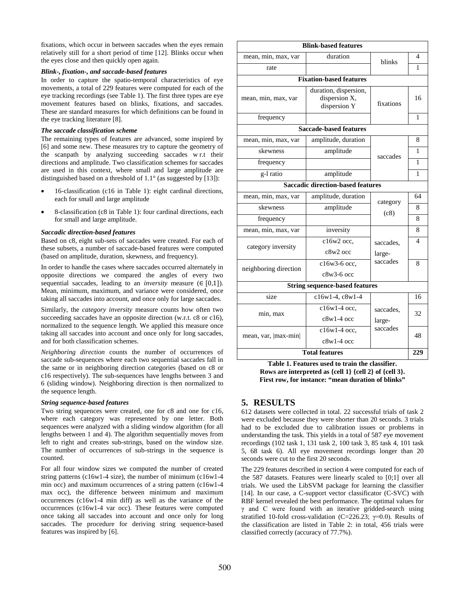fixations, which occur in between saccades when the eyes remain relatively still for a short period of time [12]. Blinks occur when the eyes close and then quickly open again.

#### *Blink-, fixation-, and saccade-based features*

In order to capture the spatio-temporal characteristics of eye movements, a total of 229 features were computed for each of the eye tracking recordings (see Table 1). The first three types are eye movement features based on blinks, fixations, and saccades. These are standard measures for which definitions can be found in the eye tracking literature [8].

#### *The saccade classification scheme*

The remaining types of features are advanced, some inspired by [6] and some new. These measures try to capture the geometry of the scanpath by analyzing succeeding saccades w r.t their directions and amplitude. Two classification schemes for saccades are used in this context, where small and large amplitude are distinguished based on a threshold of 1.1° (as suggested by [13]):

- 16-classification (c16 in Table 1): eight cardinal directions, each for small and large amplitude
- 8-classification (c8 in Table 1): four cardinal directions, each for small and large amplitude.

#### *Saccadic direction-based features*

Based on c8, eight sub-sets of saccades were created. For each of these subsets, a number of saccade-based features were computed (based on amplitude, duration, skewness, and frequency).

In order to handle the cases where saccades occurred alternately in opposite directions we compared the angles of every two sequential saccades, leading to an *inversity* measure  $(E [0,1])$ . Mean, minimum, maximum, and variance were considered, once taking all saccades into account, and once only for large saccades.

Similarly, the *category inversity* measure counts how often two succeeding saccades have an opposite direction (w.r.t. c8 or c16), normalized to the sequence length. We applied this measure once taking all saccades into account and once only for long saccades, and for both classification schemes.

*Neighboring direction* counts the number of occurrences of saccade sub-sequences where each two sequential saccades fall in the same or in neighboring direction categories (based on c8 or c16 respectively). The sub-sequences have lengths between 3 and 6 (sliding window). Neighboring direction is then normalized to the sequence length.

#### *String sequence-based features*

Two string sequences were created, one for c8 and one for c16. where each category was represented by one letter. Both sequences were analyzed with a sliding window algorithm (for all lengths between 1 and 4). The algorithm sequentially moves from left to right and creates sub-strings, based on the window size. The number of occurrences of sub-strings in the sequence is counted.

For all four window sizes we computed the number of created string patterns (c16w1-4 size), the number of minimum (c16w1-4 min occ) and maximum occurrences of a string pattern (c16w1-4 max occ), the difference between minimum and maximum occurrences (c16w1-4 min diff) as well as the variance of the occurrences (c16w1-4 var occ). These features were computed once taking all saccades into account and once only for long saccades. The procedure for deriving string sequence-based features was inspired by [6].

| <b>Blink-based features</b>              |                                                        |           |                |  |  |  |  |  |  |  |
|------------------------------------------|--------------------------------------------------------|-----------|----------------|--|--|--|--|--|--|--|
| mean, min, max, var                      | duration                                               | blinks    | $\overline{4}$ |  |  |  |  |  |  |  |
| rate                                     |                                                        |           | 1              |  |  |  |  |  |  |  |
| <b>Fixation-based features</b>           |                                                        |           |                |  |  |  |  |  |  |  |
| mean, min, max, var                      | duration, dispersion,<br>dispersion X,<br>dispersion Y | fixations | 16             |  |  |  |  |  |  |  |
| frequency                                |                                                        |           | 1              |  |  |  |  |  |  |  |
| <b>Saccade-based features</b>            |                                                        |           |                |  |  |  |  |  |  |  |
| mean, min, max, var                      | amplitude, duration                                    |           | 8              |  |  |  |  |  |  |  |
| skewness                                 | amplitude                                              | saccades  | 1              |  |  |  |  |  |  |  |
| frequency                                |                                                        |           | 1              |  |  |  |  |  |  |  |
| g-l ratio                                | amplitude                                              |           | 1              |  |  |  |  |  |  |  |
| <b>Saccadic direction-based features</b> |                                                        |           |                |  |  |  |  |  |  |  |
| mean, min, max, var                      | amplitude, duration                                    | category  | 64             |  |  |  |  |  |  |  |
| skewness                                 | amplitude                                              | (c8)      | 8              |  |  |  |  |  |  |  |
| frequency                                |                                                        |           | 8              |  |  |  |  |  |  |  |
| mean, min, max, var                      | inversity                                              |           | 8              |  |  |  |  |  |  |  |
| category inversity                       | $c16w2$ occ.                                           | saccades. | $\overline{4}$ |  |  |  |  |  |  |  |
|                                          | $c8w2$ occ                                             | large-    |                |  |  |  |  |  |  |  |
| neighboring direction                    | c16w3-6 occ.                                           | saccades  | 8              |  |  |  |  |  |  |  |
|                                          | $c8w3-6$ occ                                           |           |                |  |  |  |  |  |  |  |
| <b>String sequence-based features</b>    |                                                        |           |                |  |  |  |  |  |  |  |
| size                                     | c16w1-4, c8w1-4                                        |           | 16             |  |  |  |  |  |  |  |
| min, max                                 | $c16w1-4$ occ.                                         | saccades. | 32             |  |  |  |  |  |  |  |
|                                          | $c8w1-4$ occ                                           | large-    |                |  |  |  |  |  |  |  |
| mean, var,  max-min                      | $c16w1-4$ occ.                                         | saccades  | 48             |  |  |  |  |  |  |  |
|                                          | $c8w1-4$ occ                                           |           |                |  |  |  |  |  |  |  |
| <b>Total features</b>                    |                                                        |           |                |  |  |  |  |  |  |  |

**Table 1. Features used to train the classifier. Rows are interpreted as {cell 1} {cell 2} of {cell 3}. First row, for instance: "mean duration of blinks"**

# **5. RESULTS**

612 datasets were collected in total. 22 successful trials of task 2 were excluded because they were shorter than 20 seconds. 3 trials had to be excluded due to calibration issues or problems in understanding the task. This yields in a total of 587 eye movement recordings (102 task 1, 131 task 2, 100 task 3, 85 task 4, 101 task 5, 68 task 6). All eye movement recordings longer than 20 seconds were cut to the first 20 seconds.

The 229 features described in section 4 were computed for each of the 587 datasets. Features were linearly scaled to [0;1] over all trials. We used the LibSVM package for learning the classifier [14]. In our case, a C-support vector classificator (C-SVC) with RBF kernel revealed the best performance. The optimal values for γ and C were found with an iterative gridded-search using stratified 10-fold cross-validation (C=226.23;  $\gamma$ =0.0). Results of the classification are listed in Table 2: in total, 456 trials were classified correctly (accuracy of 77.7%).